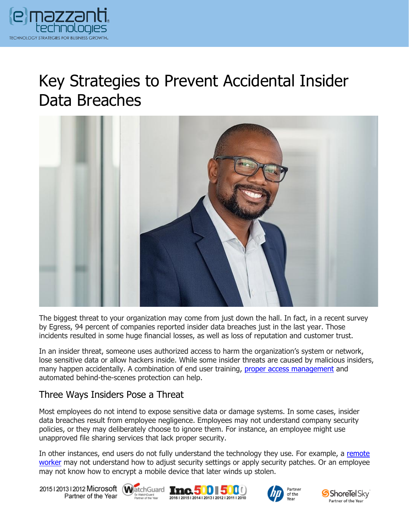

# Key Strategies to Prevent Accidental Insider Data Breaches



The biggest threat to your organization may come from just down the hall. In fact, in a recent survey by Egress, 94 percent of companies reported insider data breaches just in the last year. Those incidents resulted in some huge financial losses, as well as loss of reputation and customer trust.

In an insider threat, someone uses authorized access to harm the organization's system or network, lose sensitive data or allow hackers inside. While some insider threats are caused by malicious insiders, many happen accidentally. A combination of end user training, [proper access management](https://www.emazzanti.net/unified-workspace/) and automated behind-the-scenes protection can help.

#### Three Ways Insiders Pose a Threat

Most employees do not intend to expose sensitive data or damage systems. In some cases, insider data breaches result from employee negligence. Employees may not understand company security policies, or they may deliberately choose to ignore them. For instance, an employee might use unapproved file sharing services that lack proper security.

In other instances, end users do not fully understand the technology they use. For example, a [remote](https://messagingarchitects.com/work-from-home-security-tips/)  [worker](https://messagingarchitects.com/work-from-home-security-tips/) may not understand how to adjust security settings or apply security patches. Or an employee may not know how to encrypt a mobile device that later winds up stolen.

20151201312012 Microsoft WatchGuard Tnc. 500 500 Partner of the Year







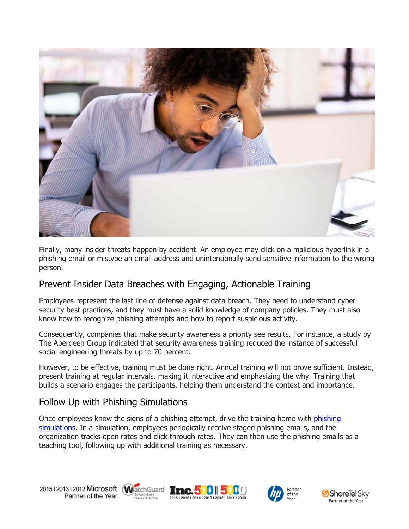

Finally, many insider threats happen by accident. An employee may click on a malicious hyperlink in a phishing email or mistype an email address and unintentionally send sensitive information to the wrong person.

#### Prevent Insider Data Breaches with Engaging, Actionable Training

Employees represent the last line of defense against data breach. They need to understand cyber security best practices, and they must have a solid knowledge of company policies. They must also know how to recognize phishing attempts and how to report suspicious activity.

Consequently, companies that make security awareness a priority see results. For instance, a study by The Aberdeen Group indicated that security awareness training reduced the instance of successful social engineering threats by up to 70 percent.

However, to be effective, training must be done right. Annual training will not prove sufficient. Instead, present training at regular intervals, making it interactive and emphasizing the why. Training that builds a scenario engages the participants, helping them understand the context and importance.

#### Follow Up with Phishing Simulations

Once employees know the signs of a phishing attempt, drive the training home with [phishing](https://www.emazzanti.net/manufacturing-phishing-attacks/)  [simulations.](https://www.emazzanti.net/manufacturing-phishing-attacks/) In a simulation, employees periodically receive staged phishing emails, and the organization tracks open rates and click through rates. They can then use the phishing emails as a teaching tool, following up with additional training as necessary.